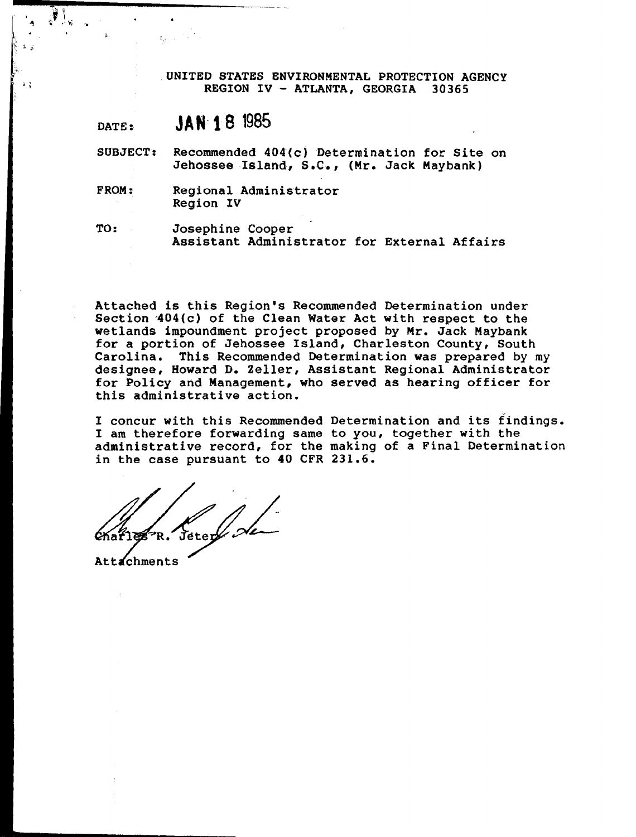UNITED STATES ENVIRONMENTAL PROTECTION AGENCY<br>REGION IV - ATLANTA, GEORGIA 30365

# **DATE** : **JAN- 18** <sup>1985</sup>

- **SUBJECT: Recommended 404(c) Determination for Site on Jehossee Island, S.C., (Mr. Jack Maybank)**
- **FROM: Regional Administrator Region IV**

**TO** : **Josephine Cooper Assistant Administrator for External Affairs** 

**Attached is this Region's Recommended Determination under**  Section 404(c) of the Clean Water Act with respect to the **wetlands impoundment project proposed by Mr. Jack Maybank for a portion of Jehossee Island, Charleston County, South Carolina. This Recommended Determination was prepared by my designee, Howard D. Zeller, Assistant Regional Administrator for Policy and Management, who served as hearing officer for this administrative action.** 

**I concur with this Recommended Determination and its findings. I am therefore forwarding same to you, together with the**  administrative record, for the making of a Final Determination in the case pursuant to 40 CFR 231.6.<br> **Charliers** R. Jeter of the making of a Final Determination **in the case pursuant to 40 CFR 231.6.** 

**2**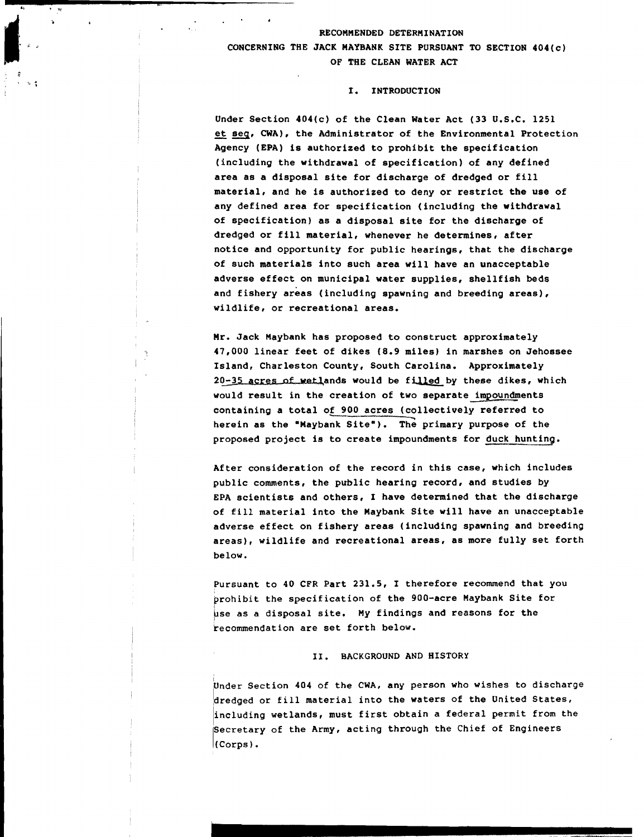#### **J** l-\*--.' **RECOMMENDED DETERMINATION <sup>i</sup>**; **CONCERNING THE JACK MAYBANK SITE PURSUANT TO SECTION 404(c) OF THE CLEAN WATER ACT**

# -, **I. INTRODUCTION**

**Under Section 404(c) of the Clean Water Act (33 U.S.C. 1251**  - **et aeq, CWA), the Administrator of the Environmental Protection Agency (EPA) is authorized to prohibit the specification (including the withdrawal of specification) of any defined area as a disposal site for discharge of dredged or fill material, and he is authorized to deny or restrict the use of any defined area for specification (including the withdrawal of specification) as a disposal site for the discharge of dredged or fill material, whenever he determines, after notice and opportunity for public hearings, that the discharge of such materials into such area will have an unacceptable adverse effect on municipal water supplies, shellfish beds and fishery areas (including spawning and breeding areas), wildlife, or recreational areas,** 

**Mr. Jack Maybank has proposed to construct approximately 47,000 linear feet of dikes (8.9 miles) in marshes on Jehossee Island, Charleston County, South Carolina, Approximately**  20-35 acres of wetlands would be filled by these dikes, which would result in the creation of two separate impoundments containing a total of 900 acres (collectively referred to herein as the "Maybank Site"). The primary purpose of the **proposed project is to create impoundments for duck hunting.** 

**After consideration of the record in this case, which includes public comments, the public hearing record, and studies by EPA scientists and others, I have determined that the discharge of fill material into the Maybank Site will have an unacceptable adverse effect on fishery areas (including spawning and breeding areas), wildlife and recreational areas, as more fully set forth be low.** 

**Pursuant to 40 CFR Part 231.5, 1 therefore recommend that you prohibit the specification of the 900-acre Maybank Site for** <sup>I</sup> **bse as a disposal site. My findings and reasons for the recommendation are set forth below.** 

#### **11. BACKGROUND AND HISTORY**

**Under Section 404 of the CWA, any person who wishes to discharge bredged or fill material into the waters of the United States. including wetlands, must first obtain a federal permit from the Secretary of the Army, acting through the Chief of Engineers (Corps** ) .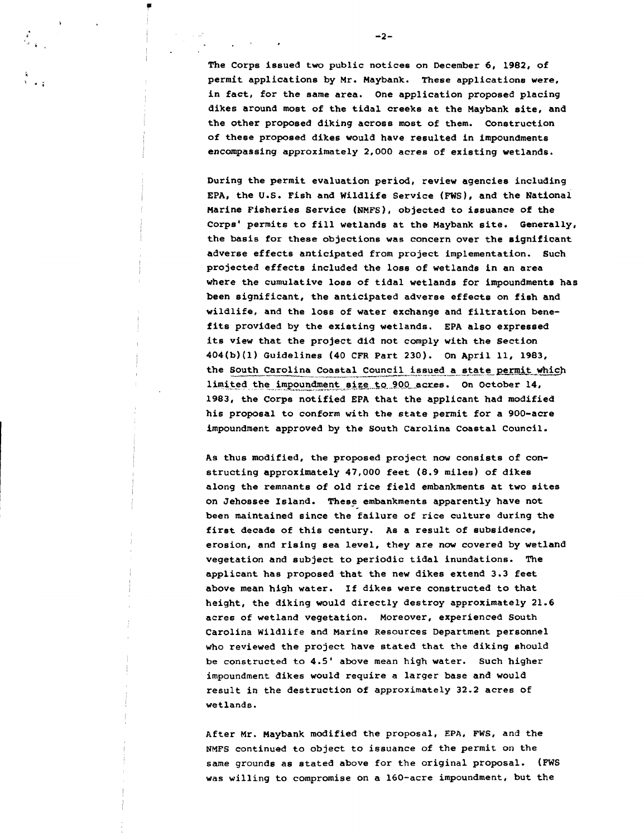**The Corps issued two public notices on December 6, 1982, of permit applications by Mr. Maybank. These applications were, in fact, for the same area. One application proposed placing dikes around most of the tidal creeks at the Maybank site, and the other proposed diking across most of them. Construction of these proposed dikes would have resulted in impoundments encompassing approximately 2,000 acres of existing wetlands.** 

**During the permit evaluation period, review agencies including EPA, the U.S. Fish and Wildlife Service** (FWS), **and the National Marine Fisheries Service (NMFS), objected to issuance of the Corps' permits to fill wetlands at the Maybank site. Generally, the basis for these objections was concern over the significant adverse effects anticipated from project implementation. Such projected effects included the loss of wetlands in an area where the cumulative loss of tidal wetlands for impoundments has been significant, the anticipated adverse effects on fish and wildlife, and the loss of water exchange and filtration benefits provided by the existing wetlands. EPA also expressed its view that the project did not comply with the Section 404(b)(l) Guidelines (40 CFR Part 230). On April 11, 1983, the South Carolines (40 CFR Part 230).** On April 11, 1983,<br>
the South Carolina Coastal Council issued a state permit which<br>
limited the impoundment aige to 800 parce . On October 14 limited the impoundment size to 900 acres. On October 14, **1983, the Corps notified EPA that the applicant had modified his proposal to conform with the state permit for a 900-acre impoundment approved by the South Carolina Coastal Council.** 

**As thus modified, the proposed project now consists of constructing approximately 47,000 feet (8.9 miles) of dikes along the remnants of old rice field embankments at two sites on Jehossee Island. These embankments apparently have not been maintained since the failure of rice culture during the first decade of this century. As a result of subsidence, erosion, and rising Bea level, they are now covered by wetland vegetation and subject to periodic tidal inundations. The applicant has proposed that the new dikes extend 3.3 feet above mean high water. If dikes were constructed to that height, the diking would directly destroy approximately 21.6 acres of wetland vegetation. Moreover, experienced South Carolina Wildlife and Marine Resources Department personnel who reviewed the project have stated that the diking should be constructed to 4.5' above mean high water. Such higher impoundment dikes would require a larger base and would result in the destruction of approximately 32.2 acres of wetlands.** 

**After Mr. Maybank modified the proposal, EPA, FWS, and the NMFS continued to object to issuance of the permit on the same grounds as stated above for the original proposal. (FWS was willing to compromise on a 160-acre impoundment, but the** 

 $-2-$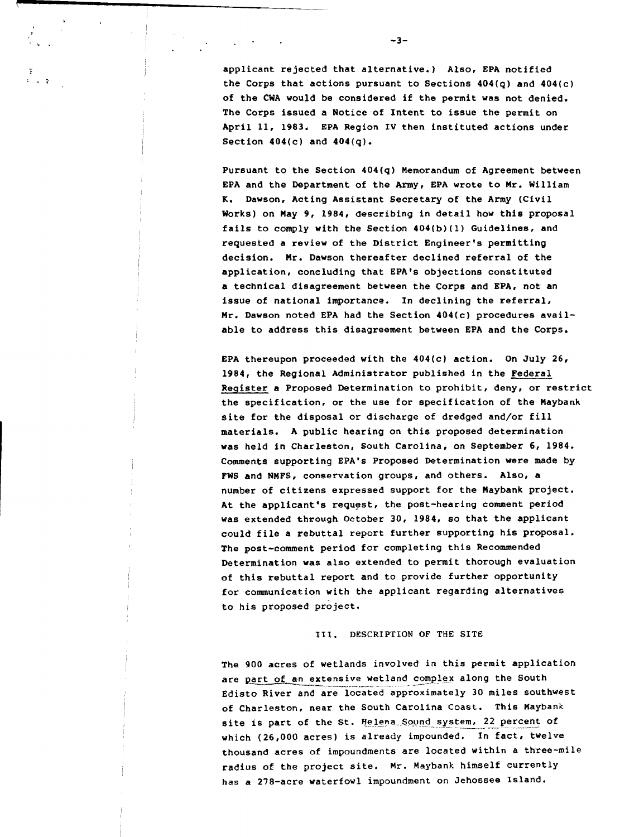applicant rejected that alternative.) Also, EPA notified the Corps that actions pursuant to Sections 404(q) and 404(c) of the CWA would be considered if the permit was not denied. The Corps issued a Notice of Intent to issue the permit on April 11, 1983. EPA Region IV then instituted actions under Section  $404(c)$  and  $404(q)$ .

 $-3-$ 

Pursuant to the Section 404(q) Memorandum of Agreement between EPA and the Department of the Army, EPA wrote to Mr. William K. Dawson, Acting Assistant Secretary of the Army (Civil Works) on May 9, 1984, describing in detail how this proposal fails to comply with the Section 404(b)(l) Guidelines, and requested a review of the District Engineer's permitting decision. Mr. Dawson thereafter declined referral of the application, concluding that EPA's objections constituted a technical disagreement between the Corps and EPA, not an issue of national importance. In declining the referral, Mr. Dawson noted EPA had the Section 404(c) procedures available to address this disagreement between EPA and the Corps.

EPA thereupon proceeded with the 404(c) action. On July 26, 1984, the Regional Administrator published in the Federal Register a Proposed Determination to prohibit, deny, or restrict the specification, or the use for specification of the Maybank site for the disposal or discharge of dredged and/or fill materials. A public hearing on this proposed determination was held in Charleston, South Carolina, on September 6, 1984. Comments supporting EPA's Proposed Determination were made by FWS and NMFS, conservation groups, and others. Also, a number of citizens expressed support for the Maybank project. At the applicant's request, the post-hearing comment period was extended through October 30, 1984, so that the applicant could file a rebuttal report further supporting his proposal. The post-comment period for completing this Recommended Determination was also extended to permit thorough evaluation of this rebuttal report and to provide further opportunity for communication with the applicant regarding alternatives to his proposed project.

#### 111. DESCRIPTION OF THE SITE

The 900 acres of wetlands involved in this permit application are part of an extensive wetland complex along the South Edisto River and are located approximately 30 miles southwest of Charleston, near the South Carolina Coast. This Maybank site is part of the St. Helena Sound system, 22 percent of which (26,000 acres) is already impounded. In fact, twelve thousand acres of impoundments are located within a three-mile radius of the project site. Mr. Haybank himself currently has a 278-acre waterfowl impoundment on Jehossee Island.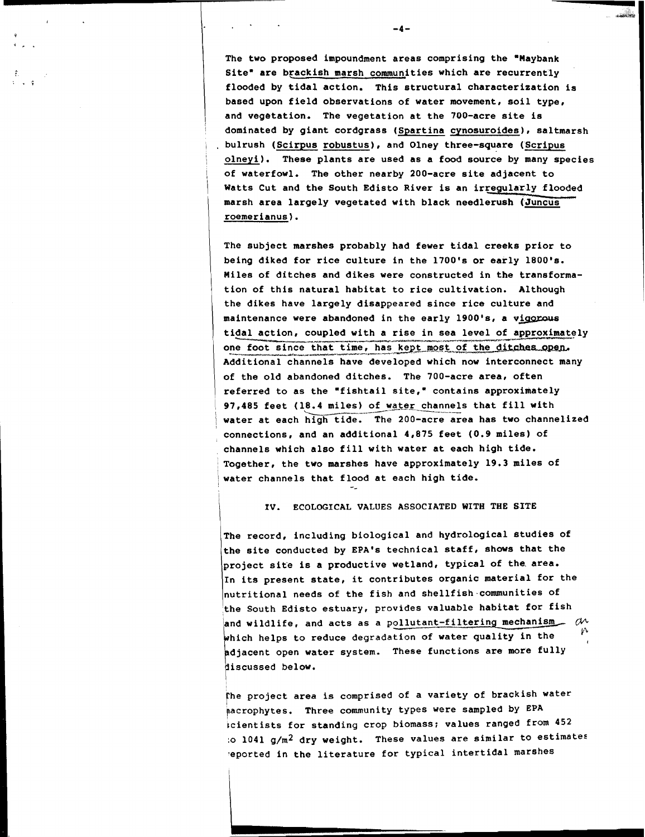The two proposed impoundment areas comprising the "Maybank Site<sup>\*</sup> are brackish marsh communities which are recurrently **flooded by tidal action. This structural characterization is based upon field observations of water movement, soil type, and vegetation. The vegetation at the 700-acre site is dominated by giant cordgrass (Spartina cynosuroides), saltmarsh**  bulrush (Scirpus robustus), and Olney three-square (Scripus ' **olneyi). These plants are used as a food source by many species**  / **of waterfowl. The other nearby 200-acre site adjacent to**  / **Watts Cut and the South Edisto River is an irregularly flooded**  marsh area largely vegetated with black needlerush (Juncus' I **roemerianus).** 

 $-4-$ 

فأوالمصادر

**The subject marshes probably had fewer tidal creeks prior to**  being diked for rice culture in the 1700's or early 1800's. I **Miles of ditches and dikes were constructed in the transformation of this natural habitat to rice cultivation. Although**  the dikes have largely disappeared since rice culture and maintenance were abandoned in the early 1900's, a vigorous being diked for rice culture in the 1700's or early 1800's.<br>Miles of ditches and dikes were constructed in the transforma-<br>tion of this natural habitat to rice cultivation. Although<br>the dikes have largely disappeared since one foot since that time, has kept most of the ditches open. **Additional channels have developed which now interconnect many**  / **of the old abandoned ditches. The 700-acre area, often**  <sup>1</sup>**referred to as the "fishtail site," contains approximately**  1 97,485 feet (18.4 miles) of water channels that fill with **I also that I is a set of the set of the set of the set of the set of the set of the set of the set of the set of the set of the set of the set of the set of the** water at each high tide. The 200-acre area has two channelized **connections, and an additional 4,875 feet (0.9 miles) of channels which also fill with water at each high tide.**  <sup>1</sup>**Together, the two marshes have approximately 19.3 miles of /water channels that flood at each high tide.**  --

IV. ECOLOGICAL VALUES ASSOCIATED WITH THE SITE

**The record, including biological and hydrological studies of**  the site conducted by EPA's technical staff, shows that the **project site is a productive wetland, typical of the area. In its present state, it contributes organic material for the nutritional needs of the fish and shellfish communities of the South Edisto estuary, provides valuable habitat for fish**  and wildlife, and acts as a pollutant-filtering mechanism  $\partial$ which helps to reduce degradation of water quality in the **djacent open water system. These functions are more fully iscussed below.** 

The project area is comprised of a variety of brackish water **pacrophytes. Three community types were sampled by EPA tcientists for standing crop biomass; values ranged from 452 :O 1041 g/m2 dry weight. These values are similar to estimates .eported in the literature for typical intertidal marshes**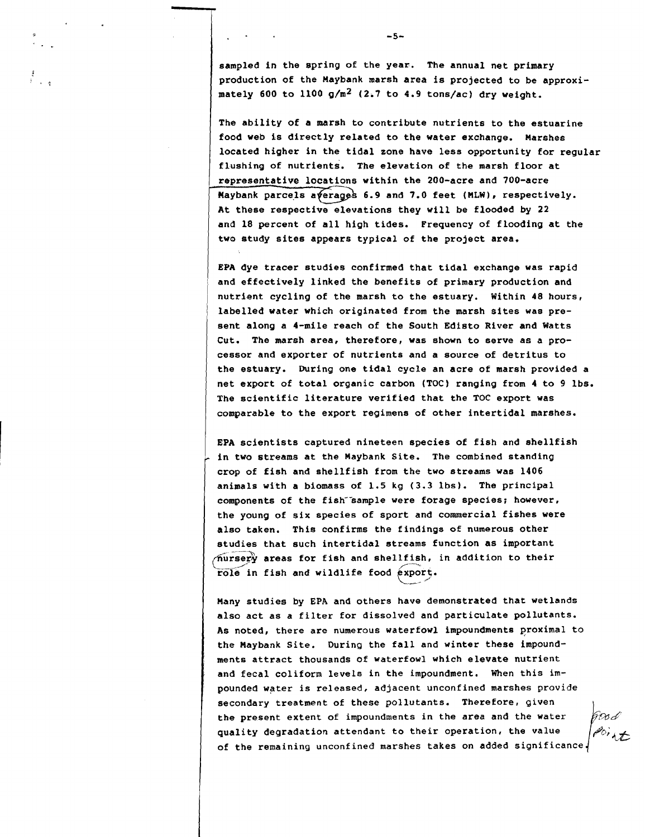sampled in the spring of the year. The annual net primary **production of the Maybank marsh area is projected to be approximately 600 to 1100 g/m2 (2.7 to 4.9 tons/ac) dry weight.** 

**The ability of a marsh to contribute nutrients to the estuarine food web is directly related to the water exchange. Marshes located higher in the tidal zone have less opportunity for regular flushing of nutrients. The elevation of the marsh floor at**  representative locations within the 200-acre and 700-acre **Maybank parcels averages 6.9 and 7.0 feet (MLW), respectively.** At these respective elevations they will be flooded by 22 and 18 percent of all high tides. Frequency of flooding at the two study sites appears typical of the project area.

**EPA dye tracer studies confirmed that tidal exchange was rapid and effectively linked the benefits of primary production and nutrient cycling of the marsh to the estuary. Within 48 hours, labelled water which originated from the marsh sites was present along a 4-mile reach of the South Edisto River and Watts Cut. The marsh area, therefore, was shown to serve as a processor and exporter of nutrients and a source of detritus to the estuary. During one tidal cycle an acre of marsh provided a net export of total organic carbon (TOC) ranging from 4 to 9 lbs. The scientific literature verified that the TOC export was comparable to the export regimens of other intertidal marshes.** 

**EPA scientists captured nineteen species of fish and shellfish in two streams at the Maybank Site. The combined standing crop of fish and shellfish from the two streams was 1406 animals with a biomass of 1.5 kg (3.3 lbs). The principal**  components of the fish<sup>-</sup>sample were forage species; however, **the young of six species of sport and commercial fishes were also taken. This confirms the findings of numerous other studies that such intertidal streams function as important AUTSETY** areas for fish and shellfish, in addition to their<br> **Fole in fish and wildlife food export.** 

**Many studies by EPA and others have demonstrated that wetlands also act as a filter for dissolved and particulate pollutants. As noted, there are numerous waterfowl impoundments qroximal to the Maybank Site. During the fall and winter these impoundments attract thousands of waterfowl which elevate nutrient and fecal coliform levels in the impoundment. When this impounded water is released, adjacent unconfined marshes provide secondary treatment of these pollutants. Therefore, given the present extent of impoundments in the area and the water quality degradation attendant to their operation, the value of the remaining unconfined marshes takes on added significance**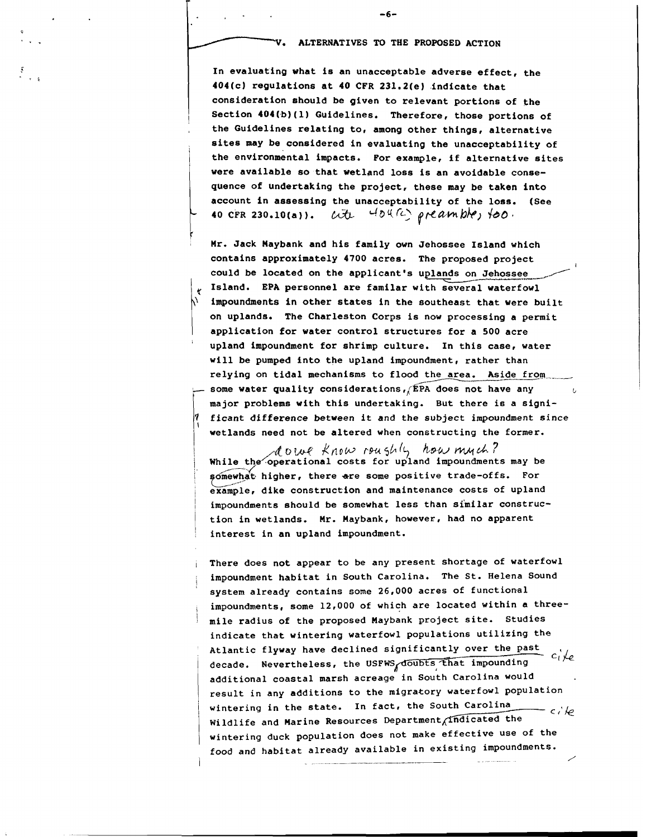**-6-** 

 $-6-$ <br> **To ALTERNATIVES TO THE PROPOSED ACTION**<br>
In evaluating what is an unacceptable adverse effect, the<br>
404(a) requisions at 40.6FP 331, 2(a) defined a that **In evaluating what is an unacceptable adverse effect, the 404(c) regulations at 40 CFR 231.2(e) indicate that consideration should be given to relevant portions of the**  <sup>I</sup>**Section 404(b)(l) Guidelines. Therefore, those portions of**  , **the Guidelines relating to, among other things, alternative sites may be considered in evaluating the unacceptability of the environmental impacts, For example, if alternative sites were available so that wetland loss is an avoidable consequence of undertaking the project, these may be taken into account in assessing the unacceptability of the loss. (See 40 CFR 230.10(a)).** a. *4bq* d **pflhmbk) bo.** 

**Mr. Jack Haybank and his family own Jehossee Island which contains approximately 4700 acres. The proposed project** <sup>I</sup> contains approximately 4700 acres. The proposed<br>could be located on the applicant's uplands on Je<br>Island. EPA personnel are familar with several w could be located on the applicant's uplands on Jehossee *Jeo*<br> **land which<br>
<b>J** project<br> **Jehossee**<br> **vaterfowl** Island. EPA personnel are familar with several waterfowl **impoundments in other states in the southeast that vere built on uplands. The Charleston Corps is now processing a permit application for vater control structures for a 500 acre**  ' **upland impoundment for shrimp culture, In this case, water will be pumped into the upland impoundment, rather than**  relying on tidal mechanisms to flood the area. Aside from  $=$  some water quality considerations, EPA does not have any **major problems with this undertaking. But there is a significant difference between it and the subject impoundment since**  wetlands need not be altered when constructing the former.

/. **~c,L\*.V** know rw5b(j *kp~* **wd.?**  While the<sup>2</sup> operational costs for upland impoundments may be somewhat higher, there are some positive trade-offs. For **example, dike construction and maintenance costs of upland impoundments should be somewhat less than similar construction in wetlands. Mr. Haybank, however, had no apparent interest in an upland impoundment.** 

**There does not appear to be any present shortage of waterfowl impoundment habitat in South Carolina. The St. Helena Sound system already contains some 26,000 acres of functional impoundments, some 12,000 of which are located within a threemile radius of the proposed Maybank project site. Studies indicate that wintering waterfowl populations utilizing the Atlantic flyway have declined significantly over the past**  decade. Nevertheless, the USFWS doubts that impounding  $c_1$  /e **additional coastal marsh acreage in South Carolina would result in any additions to the migratory waterfowl population**  wintering in the state. In fact, the South Carolina *Cile* Wildlife and Marine Resources Department findicated the **wintering duck population does not make effective use of the**  food and habitat already available in existing impoundments.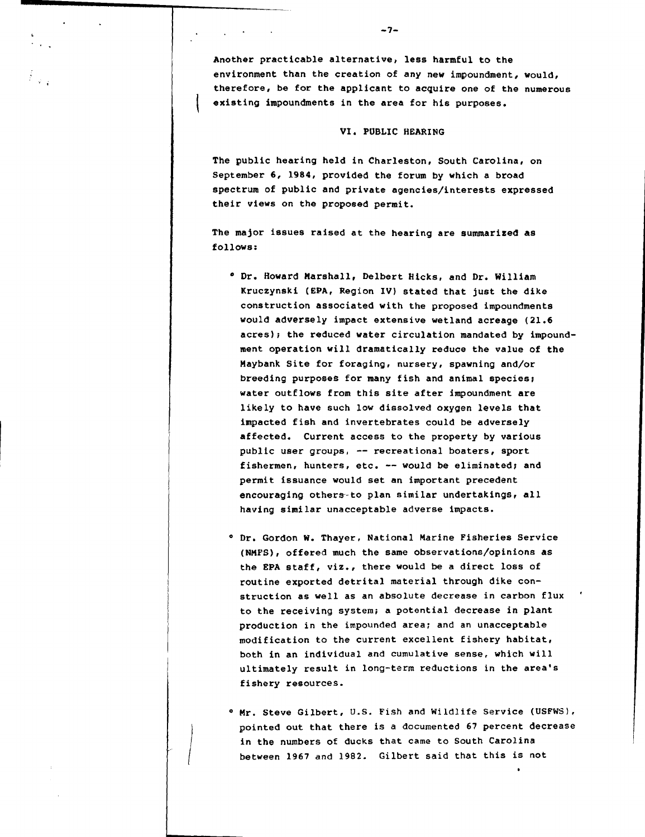Another practicable alternative) less harmful to the environment than the creation of any new impoundment, would, therefore, be for the applicant to acquire one of the numerous existing impoundments in the area for his purposes.

 $-7-$ 

#### VI. PUBLIC HEARING

The public hearing held in Charleston, South Carolina, on September 6, 1984, provided the forum by which a broad spectrum of public and private agencies/interests expressed their views on the proposed permit.

The major issues raised at the hearing are summarized as follows:

- **<sup>O</sup>**Dr. Howard Marshall, Delbert Hicks, and Dr. William Kruczynski (EPA, Region IV) stated that just the dike construction associated with the proposed impoundments would adversely impact extensive wetland acreage (21.6 acres); the reduced water circulation mandated by impoundment operation will dramatically reduce the value of the naybank Site for foraging, nursery, spawning and/or breeding purposes for many fish and animal species; water outflows from this site after impoundment are likely to have such low dissolved oxygen levels that impacted fish and invertebrates could be adversely affected. Current access to the property by various public user groups, -- recreational boaters, sport fishermen, hunters, etc. -- would be eliminated; and permit issuance would set an important precedent encouraging others-to plan similar undertakings, all having similar unacceptable adverse impacts.
- **<sup>O</sup>**Dr. Gordon W. Thayer, National Marine Fisheries Service **(NMPS),** offered much the same observations/opinions as the EPA staff, viz., there would be a direct loss of routine exported detrital material through dike construction as well as an absolute decrease in carbon flux ' to the receiving system; a potential decrease in plant production in the impounded area; and an unacceptable modification to the current excellent fishery habitat, both in an individual and cumulative sense, which will ultimately result in long-term reductions in the area's fishery resources.
- **<sup>O</sup>**Mr. Steve Gilbert, U.S. Fish and Wildlife Service (USFWS), pointed out that there is a documented 67 petcent decrease in the numbers of ducks that came to South Carolina between 1967 and 1982. Gilbert said that this is not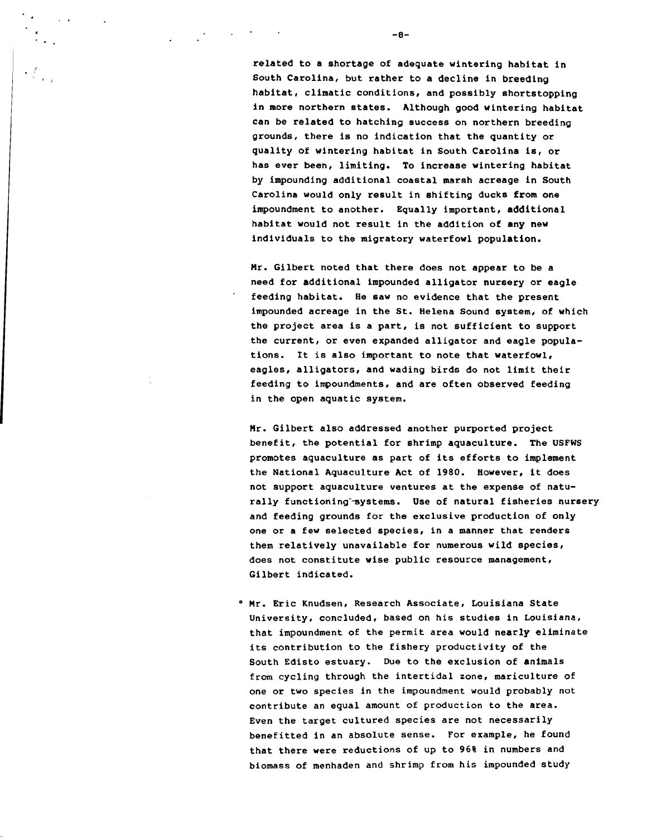**related to a shortage of adequate wintering habitat in South Carolina, but rather to a decline in breeding habitat, climatic conditions, and possibly shortstopping in more northern states. Although good wintering habitat can be related to hatching success on northern breeding grounds, there is no indication that the quantity or quality of wintering habitat in South Carolina is, or has ever been, limiting. To increase wintering habitat by impounding additional coastal marsh acreage in South Carolina would only result in shifting ducks from one impoundment to another. Equally important, additional habitat would not result in the addition of any new individuals to the migratory waterfowl population.** 

**Mr. Gilbert noted that there does not appear to be a need for additional impounded alligator nursery or eagle feeding habitat. He saw no evidence that the present impounded acreage in the St. Helena Sound system, of which the project area is a part, is not sufficient to support the current, or even expanded alligator and eagle populations. It is also important to note that waterfowl, eagles, alligators, and wading birds do not limit their feeding to impoundments, and are often observed feeding in the open aquatic system.** 

**Mr. Gilbert also addressed another purported project benefit, the potential for shrimp aquaculture. The USFWS promotes aquaculture as part of its efforts to implement the National Aquaculture Act of 1980. However, it does not support aquaculture ventures at the expense of naturally functioning-9ystems. Use of natural fisheries nursery and feeding grounds for the exclusive production of only one or a few selected species, in a manner that renders them relatively unavailable for numerous wild species, does not constitute wise public resource management, Gilbert indicated.** 

**Mr. Eric Knudsen, Research Associate, Louisiana State University, concluded, based on his studies in Louisiana, that impoundment of the permit area would nearly eliminate its contribution to the fishery productivity of the South Edisto estuary. Due to the exclusion of animals from cycling through the intertidal zone, mariculture of one or two species in the impoundment would probably not contribute an equal amount of production to the area. Even the target cultured species are not necessarily benefitted in an absolute sense. For example, he found that there were reductions of up to 96% in numbers and biomass of menhaden and shrimp from his impounded study** 

 $-8-$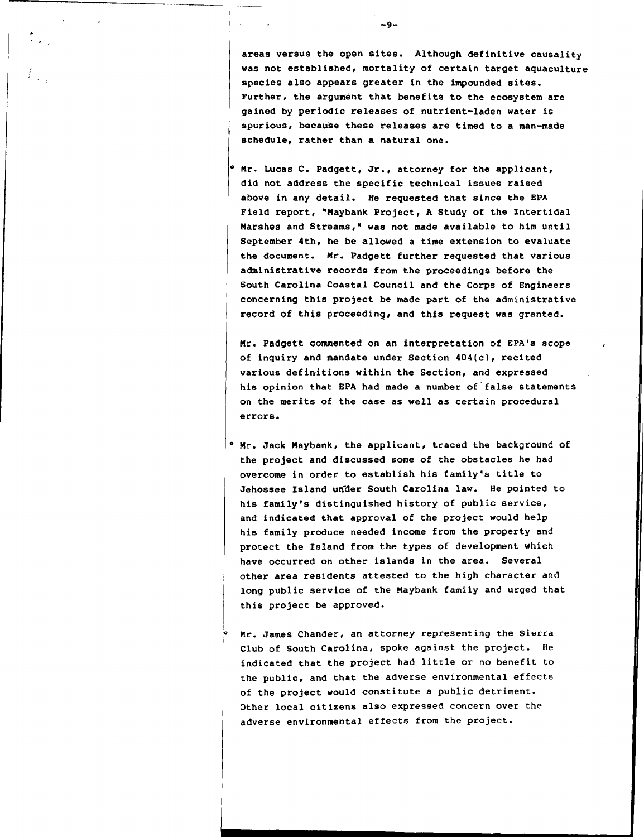**areas versus the open sites. Although definitive causality was not established, mortality of certain target aquaculture species also appears greater in the impounded sites.**  Further, the argument that benefits to the ecosystem are **gained by periodic releases of nutrient-laden water is spurious, because these releases are timed to a man-made schedule, rather than a natural one.** 

**Mr. Lucas C. Padgett, Jr., attorney for the applicant, did not address the specific technical issues raised above in any detail. He requested that since the EPA Field report, "Maybank Project, A Study of the Intertidal**  Marshes and Streams," was not made available to him until **September 4th, he be allowed a time extension to evaluate the document. Mr. Padgett further requested that various administrative records from the proceedings before the South Carolina Coastal Council and the Corps of Engineers concerning this project be made part of the administrative record of this proceeding, and this request was granted.** 

**Mr. Padgett commented on an interpretation of EPA's scope of inquiry and mandate under Section 404(c), recited various definitions within the Section, and expressed his opinion that EPA had made a number of'false statements on the merits of the case as well as certain procedural errors.** 

- **Mr. Jack Haybank, the applicant, traced the background of the project and discussed some of the obstacles he had overcome in order to establish his family's title to**  Jehossee Island under South Carolina law. He pointed to **his family's distinguished history of public service, and indicated that approval of the project would help his family produce needed income from the property and protect the Island from the types of development which have occurred on other islands in the area. Several other area residents attested to the high character and long public service of the Maybank family and urged that this project be approved.**
- **Mr. James Chander, an attorney representing the Sierra Club of South Carolina, spoke against the project. He indicated that the project had little or no benefit to the public, and that the adverse environmental effects of the project would constitute a public detriment. Other local citizens also expressed concern over the adverse environmental effects from the project.**

 $-9-$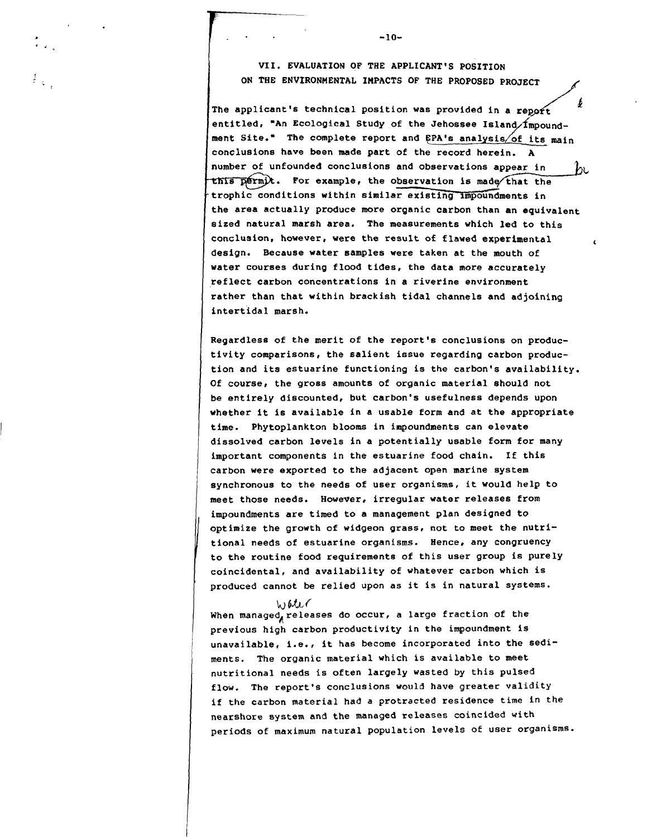**VII. EVALUATION OF THE APPLICANT'S POSITION ON THE ENVIRONMENTAL IMPACTS OF THE PROPOSED PROJECT** 

 $-10-$ 

b The applicant's technical position was provided in a report entitled, "An Ecological Study of the Jehossee Island/Impoundment Site." The complete report and EPA's analysis of its main **conclusions have been made part of the record herein. A number of unfounded conclusions**  this permit. For example, the observation is made that the trophic conditions within similar existing impoundments in **the area actually produce more organic carbon than an equivalent sized natural marsh area. The measurements which led to this conclusion, however, were the result of flawed experimental <sup>t</sup> design. Because water samples were taken at the mouth of water courses during flood tides, the data more accurately reflect carbon concentrations in a riverine environment rather than that within brackish tidal channels and adjoining intertidal marsh.** 

I **Regardless of the merit of the report's conclusions on productivity comparisons, the salient issue regarding carbon production and its estuarine functioning is the carbon's availability. Of course, the gross amounts of organic material should not**  be entirely discounted, but carbon's usefulness depends upon **whether it is available in a usable form and at the appropriate** <sup>1</sup>**time. Phytoplankton blooms in impoundments can elevate**  dissolved carbon levels in a potentially usable form for many important components in the estuarine food chain. If this **carbon were exported to the adjacent open marine system synchronous to the needs of user organisms, it would help to meet those needs. However, irregular water releases from impoundments are timed to a management plan designed to optimize the growth of widgeon grass, not to meet the nutritional needs of estuarine organisms. Hence, any congruency to the routine food requirements of this user group is purely coincidental, and availability of whatever carbon which is produced cannot be relied upon as it is in natural systems.** 

 $W$ *bter* When managed, releases do occur, a large fraction of the **previous high carbon productivity in the impoundment is**  unavailable, i.e., it has become incorporated into the sedi-<sup>1</sup>**ments. The organic material which is available to meet nutritional needs is often largely wasted by this pulsed flow. The report's conclusions would have greater validity if the carbon material had a protracted residence time in the nearshore system and the managed releases coincided with periods of maximum natural population levels of user organisms.**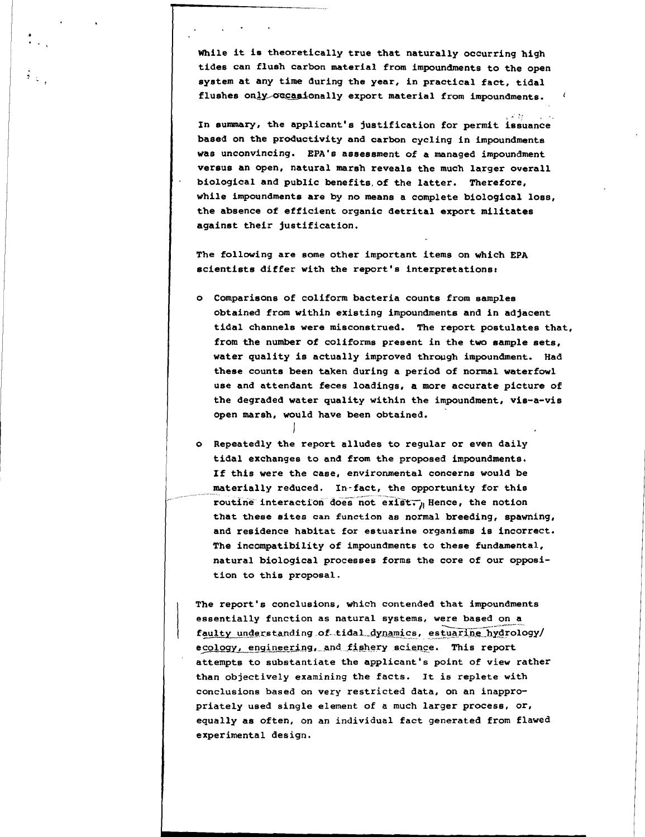**While it is theoretically true that naturally occurring high tides can flush carbon material from impoundments to the open system at any time during the year, in practical fact, tidal**  flushes only occasionally export material from impoundments.

**Latter is a linear of the applicant's justification for permit issuance** based on the productivity and carbon cycling in impoundments was unconvincing. EPA's assessment of a managed impoundment **versus an open, natural marsh reveals the much larger overall**  L . **biological and public benefits, of the latter. Therefore, while impoundments are by no means a complete biological loss, the absence of efficient organic detrital export militates against their justification.** 

**The following are some other important items on which EPA scientists differ with the report' s interpretationst** 

- **o Comparisons of coliform bacteria counts from samples obtained from within existing impoundments and in adjacent tidal channels were misconstrued. The report postulates that, from the number of coliforms present in the two sample sets, water quality is actually improved through impoundment. Had these counts been taken during a period of normal waterfowl use and attendant feces loadings, a more accurate picture of the degraded water quality within the impoundment, vis-a-vis open marsh, would have been obtained.**
- **o Repeatedly the report alludes to regular or even daily tidal exchanges to and from the proposed impoundments. If this were the case, environmental concerns would be**  materially reduced. In-fact, the opportunity for this routine interaction does not exist. Hence, the notion **that these sites can function as normal breeding, spawning, and residence habitat for estuarine organisms is incorrect. The incompatibility of impoundments to these fundamental, natural biological processes forms the core of our opposition to this proposal.**

I

'

**The report's conclusions, which contended that impoundments essentially function as natural systems, were based on a** \., '" faulty understanding of tidal dynamics, estuarine hydrology/ ecology, engineering, and fishery science. This report **attempts to subatantiate the applicant's point of view rather than objectively examining the facts. It is replete with conclusions based on very restricted data, on an inappropriately used single element of a much larger process, or, equally as often, on an individual fact generated from flawed experimental design.**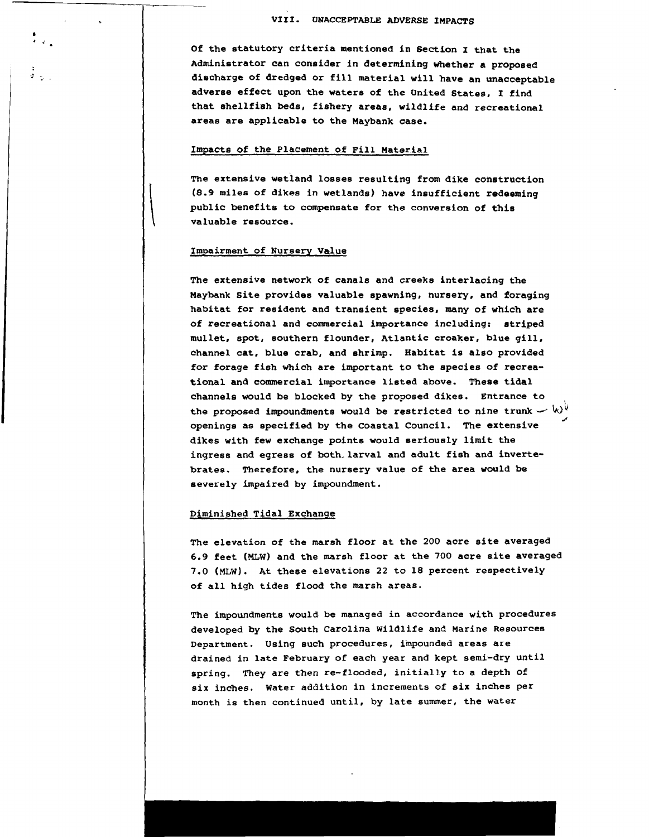**of the statutory criteria mentioned in Section I that the Administrator can consider in determining whether a proposed disaharge of dredged or fill material will have an unacceptable adverse effect upon the waters of the United States, I find that shellfish beds, fishery areas, wildlife and recreational areas are applicable to the Maybank case.** 

#### **Impacts of the Placement of Fill Material**

**The extensive wetland losses resulting from dike construction (8.9 miles of dikes in wetlands) have insufficient redeeming public benefits to compensate for the conversion of this valuable resource.** 

#### **Impairment of Nursery Value**

--

 $\frac{1}{\Phi} \frac{1}{\Phi}$  .

**The extensive network of canals and creeks interlacing the Maybank Site provides valuable spawning, nursery, and foraging habitat for resident and transient species, many of which are of recreational and commercial importance including: striped mullet, spot, southern flounder, Atlantic croaker, blue gill, channel cat, blue crab, and shrimp. Habitat is also provided for forage fish which are important to the species of recreational and commercial importance listed above. These tidal channels would be blocked by the proposed dikes. Entrance to**  the proposed impoundments would be restricted to nine trunk  $\sim$   $\omega^0$ *d'*  **openings as specified by the Coastal Council. The extensive dikes with few exchange points would seriouely limit the ingress and egress of both- larval and adult fish and invertebrates. Therefore, the nursery value of the area would be severely impaired by impoundment.** 

#### **Diminished Tidal Exchange**

**The elevation of the marsh floor at the 200 acre site averaged 6.9 feet** (MLw) **and the marsh floor at the 700 acre site averaged 7.0** (MLW). **At these elevations 22 to 18 percent respectively of all high tides flood the marsh areas.** 

**The impoundments would be managed in accordance with procedures developed by the South Carolina Wildlife and Marine Resources Department. Using such procedures, iinpounded areas are drained in late February of each year and kept semi-dry until spring. They are then re-flooded, initially to a depth of six inches. Water addition in increments of six inches per month is then continued until, by late summer, the water**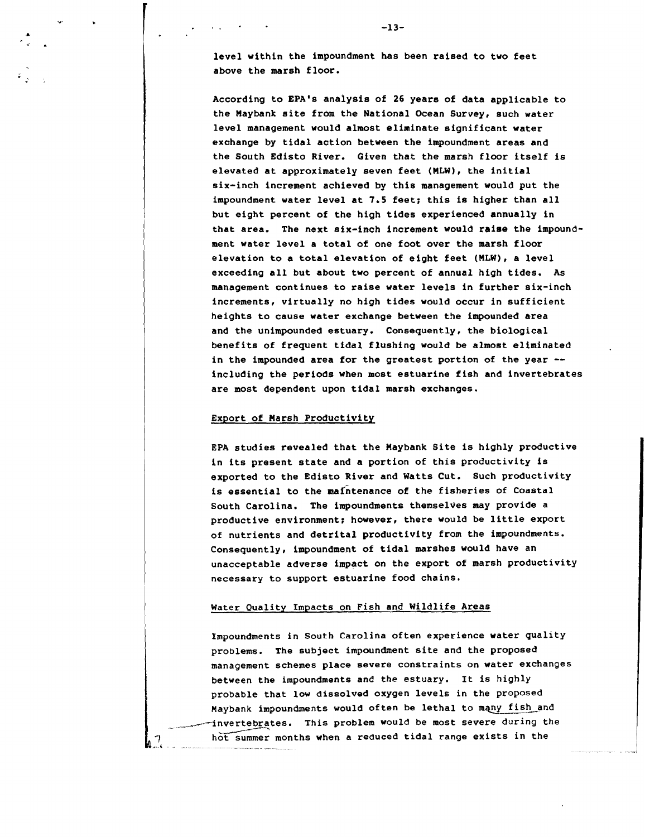**level within the impoundment has been raised to two feet above the marsh floor.** 

 $-13-$ 

**According to EPA's analysis of 26 years of data applicable to**  the Maybank site from the National Ocean Survey, such water **level management would almost eliminate significant water exchange by tidal action between the impoundment areas and the South Edisto River. Given that the marsh floor itself is elevated at approximately seven feet (HLW), the initial six-inch increment achieved by this management would put the impoundment water level at 7.5 feet; this is higher than all but eight percent of the high tides experienced annually in that area. The next six-inch increment would raise the impoundment water level a total of one foot over the marsh floor elevation to a total elevation of eight feet (HLW), a level exceeding all but about two percent of annual high tides. As management continues to raise water levels in further six-inch**  increments, virtually no high tides would occur in sufficient **heights to cause water exchange between the impounded area and the unimpounded estuary. Consequently, the biological benefits of frequent tidal flushing would be almost eliminated in the impounded area for the greatest portion of the year** - **including the periods when most estuarine fish and invertebrates are most dependent upon tidal marsh exchanges.** 

#### **Export of Harsh Productivity**

**EPA studies revealed that the Haybank Site is highly productive in its present state and a portion of this productivity is exported to the Edisto River and Watts Cut. Such productivity is essential to the maintenance of the fisheries of Coastal South Carolina. The impoundments themselves may provide a productive environment; however, there would be little export of nutrients and detrital productivity from the impoundments. Consequently, impoundment of tidal marshes would have an unacceptable adverse impact on the export of marsh productivity necessary to support estuarine food chains.** 

#### **Water Quality Impacts on Fish and Wildlife Areas**

**Impoundments in South Carolina often experience water quality problems. The subject impoundment site and the proposed management schemes place severe constraints on water exchanges between the impoundments and the estuary. It is highly probable that low dissolved oxygen levels in the proposed Maybank impoundments would often be lethal to mcy fish-and**  invertebrates. This problem would be most severe during the hot summer months when a reduced tidal range exists in the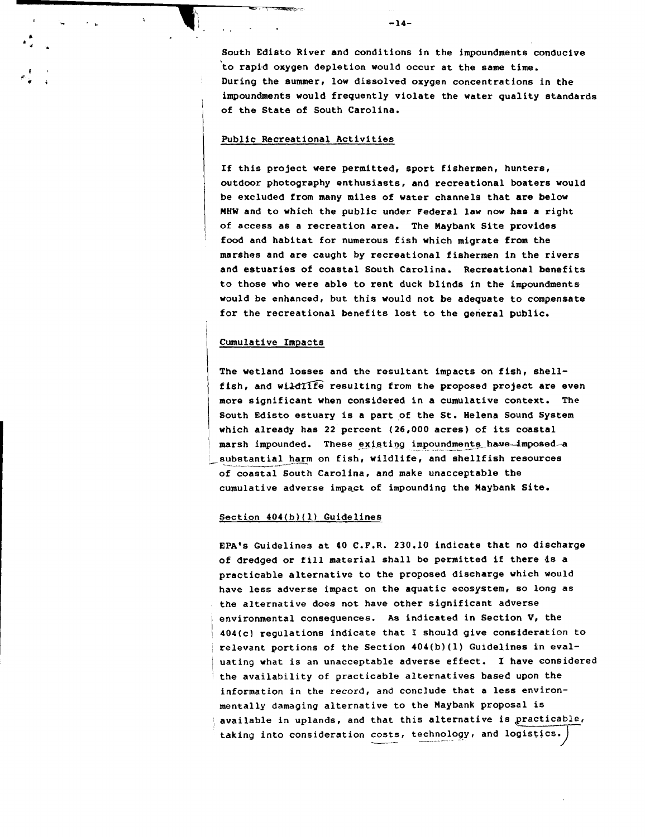*<sup>b</sup>*. \*. **South Edisto River and conditions in the impoundments conducive 'to rapid oxygen depletion would occur at the same time. During the summer, low dissolved oxygen concentrations in the impoundments would frequently violate the water quality standards** ' **of the State of South Carolina.** 

#### **Public Recreational Activities**

**If this project were permitted, sport Eishermen, hunters, outdoor photography enthusiasts, and recreational boaters would be excluded from many miles of water channels that are below HHW and to which the public under Federal law now hae a right of access as a recreation area. The Maybank Site provides**  <sup>I</sup>**food and habitat for numerous fish which migrate from the marshes and are caught by recreational fishermen in the rivers and estuaries of coastal South Carolina. Recreational benefits to those who were able to rent duck blinds in the impoundments would be enhanced, but this would not be adequate to compensate for the recreational benefits lost to the general public.** 

#### 1 **Cumulative Impacts**

I

**The wetland losses and the resultant impacts on fish, shell**fish, and wildlife resulting from the proposed project are even **more significant when considered in a cumulative context. The South Edisto estuary is a part of the St. Helena Sound System which already has 22 percent (26,000 acres) of its coastal**   $marsh$  impounded. These existing impoundments have. imposed -a substantial harm on fish, wildlife, and shellfish resources **of coastal South Carolina, and make unacceptable the**  cumulative adverse impact of impounding the Maybank Site.

#### **Section 404(b)(l) Guidelines**

**EPA's Guidelines at 40 C.P.R. 230.10 indicate that no discharge of dredged or fill material shall be permitted if there 4s a practicable alternative to the proposed discharge which would have less adverse impact on the aquatic ecosystem, so long as the alternative does not have other significant adverse**  I **environmental consequences. As indicated in Section V, the**  / **404(cl regulations indicate that I should give consideration to**  <sup>I</sup>**relevant portions of the Section 404(b)(l) Guidelines in eval-**  / **uating what is an unacceptable adverse effect. I have considered**  <sup>I</sup>**the availability of practicable alternatives based upon the information in the record, and conclude that a less environmentally damaging alternative to the Maybank proposal is**  , **available in uplands, and that this alternative is practicable,**  taking into consideration costs, technology, and logistics.)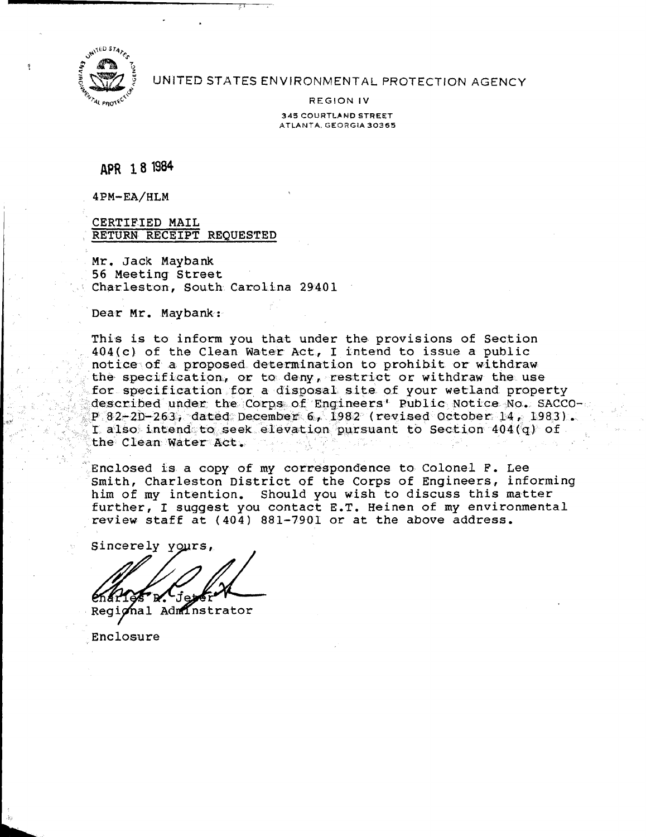

?

UNITED STATES ENVIRONMENTAL PROTECTiON **AGENCY** 

REGION **IV 345 COURTLAND STREET ATLANTA. GEORGIA 30365** 

APR 18 1984

4PM-EA/HLM

CERTIFIED MAIL RETURN RECEIPT REQUESTED

Mr. Jack Maybank 56 Meeting Street Charleston, South Carolina 29401

Dear Mr. Maybank:

This is to inform you that under the provisions of Section 404(c) of the Clean Water Act, I intend to issue a public notice of a proposed determination to prohibit or withdraw the- specification, or to deny, restrict or withdraw the use for specification for a disposal site of your wetland property described under the Corps- of Engineers' Public Notice No. SACCO- **~.l** P **82-2R-263,** dated Decemhe\$ *6,* 1982 (revised October 14, 1983). I also intend to **seek** @leva-tion pursuant to Section 404(q) of the Clean Water Act.

Enclosed is a copy of my correspondence to Colonel F. Lee Smith, Charleston District of the Corps of Engineers, informing him of my intention. Should you wish to discuss this matter further, I suggest you contact E.T. Heinen of my environmental review staff at (404) 881-7901 or at the above address.

Sincerely yours, rurtner, I suggest you contact<br>review staff at (404) 881-790<br>Sincerely yours,<br>Regional Administrator

Enclosure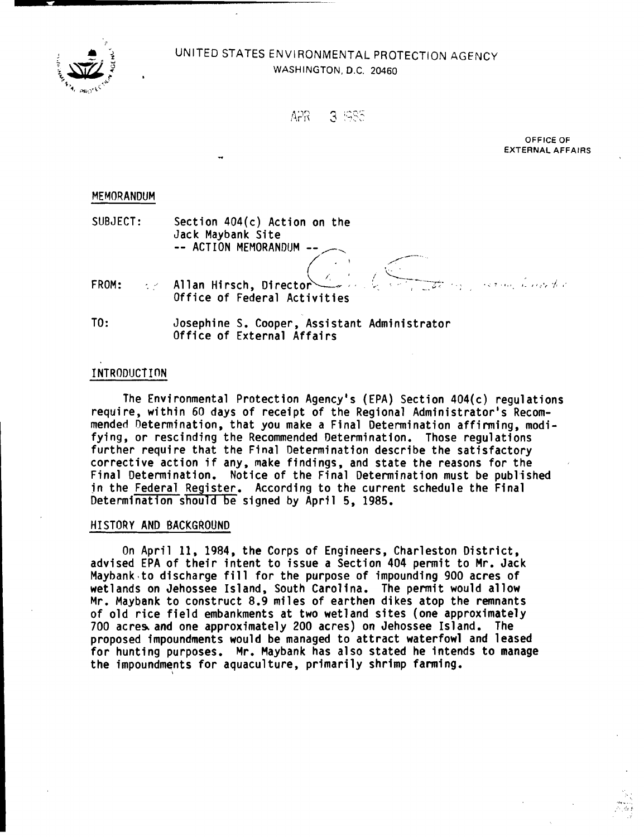

# $UNITED$  **STATES ENVIRONMENTAL PROTECTION AGENCY** WASHINGTON, **D.C. 20460**

| ለጋና | ದಿರದ |
|-----|------|
|     | こうごい |

**OFFICE OF EXTERNAL AFFAIRS** 

### MEMORANDUM

| MEMORANDUM |                                                                                            |
|------------|--------------------------------------------------------------------------------------------|
| SUBJECT:   | Section $404(c)$ Action on the<br>Jack Maybank Site                                        |
|            | -- ACTION MEMORANDUM --<br>FROM: 22 Allan Hirsch, Director<br>Office of Federal Activities |
| TO:        | Josephine S. Cooper, Assistant Administrator                                               |

# Office of External Affairs

## INTRODUCTION

The Environmental Protect ion Agency's (EPA) Section 404(c) regulations requi re, within 60 days of receipt of the Regional Administrator's Recommended netermination, that you make a Final Determination affirming, modifying, or rescinding the Recommended Determination. Those regulations further require that the Final Determination describe the satisfactory corrective action if any, make findings, and state the reasons for the Final Determination. Notice of the Final Determination must be published in the Federal Register. According to the current schedule the Final Determination should be signed by April 5, 1985.

# HISTORY AND BACKGROUND

On April 11, 1984, the Corps of Engineers, Charleston District, advised EPA of their intent to issue a Section 404 permit to Mr. Jack Maybank.to discharge fill for the purpose of impounding 900 acres of wetlands on Jehossee Island, South Carolina. The permit would allow Mr. Maybank to construct 8.9 miles of earthen dikes atop the remnants of old rice field embankments at two wetland sites (one approximately 700 acres and one approximately 200 acres) on Jehossee Island. The proposed impoundments would be managed to attract waterfowl and 1 eased for hunting purposes. Mr. Maybank has also stated he intends to manage the impoundments for aquaculture, primarily shrimp farming.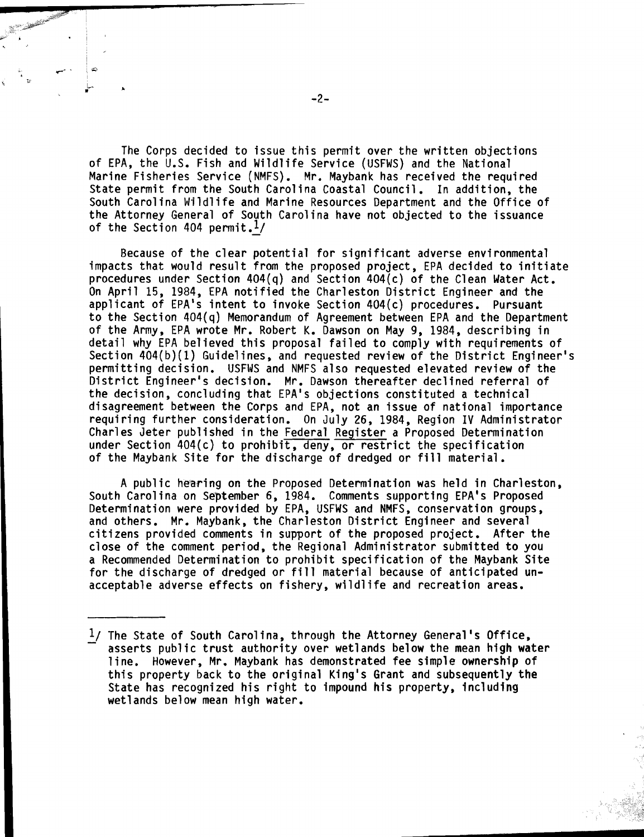The Corps decided to issue this permit over the written objections of EPA, the U.S. Fish and Wildlife Service (USFWS) and the National Marine Fisheries Service (NMFS). Mr. Maybank has received the required State permit from the South Carolina Coastal Council. In addition, the South Carolina W'ildlife and Marine Resources Department and the Office of the Attorney General of South Carolina have not objected to the issuance South Carolina Wildlife and Mari<br>the Attorney General of South Ca<br>of the Section 404 permit.<u>l</u>/

Because of the clear potential for significant adverse environmental impacts that would result from the proposed project, EPA decided to initiate procedures under Section 404(q) and Section 404(c) of the Clean Water Act. On April 15, 1984, €PA notified the Charleston District Engineer and the applicant of EPA's intent to invoke Section 404(c) procedures. Pursuant to the Section 404(q) Memorandum of Agreement between EPA and the Department of the Army, EPA wrote Mr. Robert K. Dawson on May 9, 1984, describing in detail why EPA believed this proposal failed to comply with requirements of Section 404(b)(1) Guidelines, and requested review of the District Engineer's permitting decision. USFWS and NMFS also requested elevated review of the District Engineer's decision. Mr. Dawson thereafter declined referral of the decision, concluding that EPA's objections constituted a technical disagreement between the Corps and EPA, not an issue of national importance requiring further consideration. On July 26, 1984, Region IV Administrator Charles Jeter published in the Federal Register a Proposed Determination under Section 404(c) to prohibit, deny, or restrict the specification of the Maybank Site for the discharge of dredged or fill material.

A public hearing on the Proposed Determination was held in Charleston, South Carolina on September 6, 1984. Comments supporting EPA's Proposed Determination were provided by EPA, USFWS and NMFS, conservation groups, and others. Mr. Maybank, the Charleston District Engineer and several citizens provided comments in support of the proposed project. After the close of the comment period, the Regional Administrator submitted to you a Recommended Determination to prohibit specification of the Maybank Site for the discharge of dredged or fill material because of anticipated unacceptable adverse effects on fishery, wildlife and recreation areas.

<sup>&</sup>lt;sup>1</sup>/ The State of South Carolina, through the Attorney General's Office, asserts public trust authority over wetlands below the mean high water line. However, Mr. Maybank has demonstrated fee simple ownership of this property back to the original King's Grant and subsequently the State has recognized his right to impound his property, including wetlands below mean high water.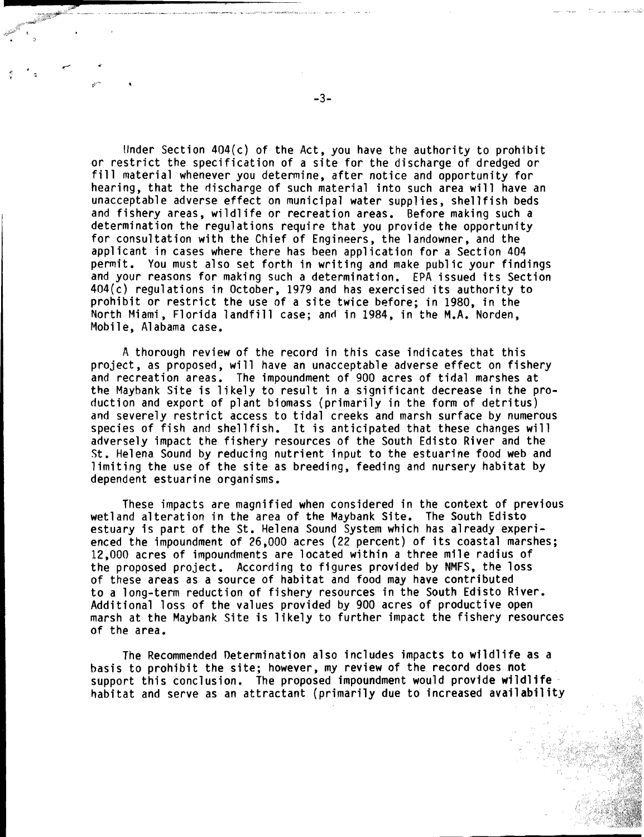Under Section  $404(c)$  of the Act, you have the authority to prohibit or restrict the specification of a site for the discharge of dredged or fill material whenever you determine, after notice and opportunity for hearing, that the discharge of such material into such area will have an unacceptable adverse effect on municipal water supplies, shellfish beds and fishery areas, wildlife or recreation areas. Before making such a determination the regulations require that you provide the opportunity for consultation with the Chief of Engineers, the landowner, and the applicant in cases where there has been application for a Section 404 permit. You must also set forth in writing and make public your findings and your reasons for making such a determination. EPA issued its Section 404(c) regulations in October, 1979 and has exercised its authority to prohibit or restrict the use of a site twice before; in 1980, in the North Miami, Florida landfill case; and in 1984, in the M.A. Norden, Mobile, Alabama case.

A thorough review of the record in this case indicates that this project, as proposed, will have an unacceptable adverse effect on fishery and recreation areas. The impoundment of 900 acres of tidal marshes at the Maybank Site is likely to result in a significant decrease in the production and export of plant biomass (primarily in the form of detritus) and severely restrict access to tidal creeks and marsh surface by numerous species of fish and shellfish. It is anticipated that these changes will adversely impact the fishery resources of the South Edisto River and the St. Helena Sound by reducing nutrient input to the estuarine food web and limiting the use of the site as breeding, feeding and nursery habitat by dependent estuarine organisms.

These impacts are magnified when considered in the context of previous wetland alteration in the area of the Maybank Site. The South Edisto estuary is part of the St. Helena Sound System which has already experienced the impoundment of 26,000 acres (22 percent) of its coastal marshes; 12,000 acres of impoundments are located within a three mile radius of the proposed project. According to figures provided by NMFS, the loss of these areas as a source of habitat and food may have contributed to a long-term reduction of fishery resources in the South Edisto River. Additional loss of the values provided by 900 acres of productive open marsh at the Maybank Site is likely to further impact the fishery resources of the area.

The Recommended Determination also includes impacts to wildlife as a basis to prohibit the site; however, my review of the record does not support this conclusion. The proposed impoundment would provide wildlife habitat and serve as an attractant (primarily due to increased avail abil ity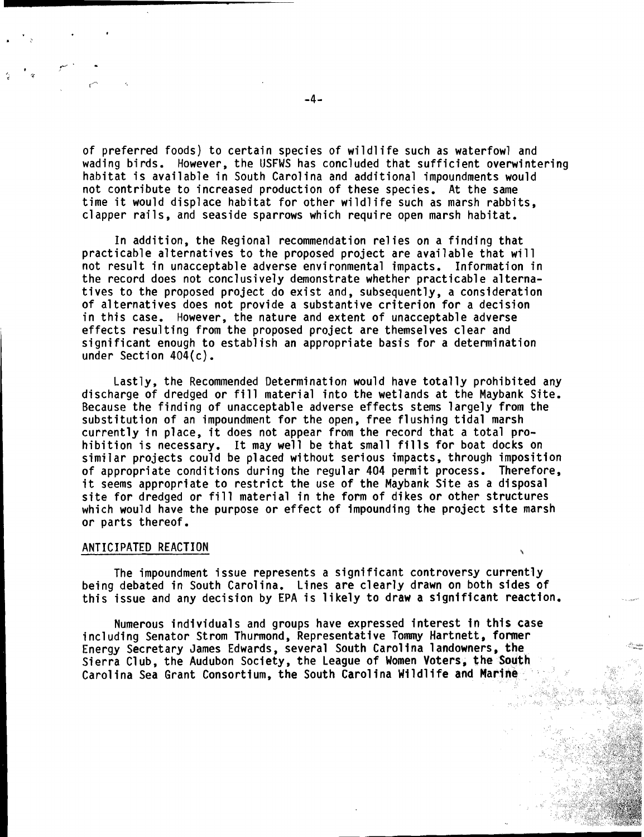of preferred foods) to certain species of wildlife such as waterfowl and wading birds. However, the USFWS has concluded that sufficient overwintering habitat is available in South Carolina and additional impoundments would not contribute to increased production of these species. At the same time it would displace habitat for other wildlife such as marsh rabbits, clapper rails, and seaside sparrows which require open marsh habitat.

In addition, the Regional recommendation re1 ies on a finding that practicable alternatives to the proposed project are available that will not result in unacceptable adverse environmental impacts. Information in the record does not conclusively demonstrate whether practicable alternatives to the proposed project do exist and, subsequently, a consideration of alternatives does not provide a substantive criterion for a decision in this case. However, the nature and extent of unacceptable adverse effects resulting from the proposed project are themselves clear and significant enough to establish an appropriate basis for a determination under Section 404(c).

Lastly, the Recommended Determination would have totally prohibited any discharge of dredged or fill material into the wetlands at the Maybank Site. Because the finding of unacceptable adverse effects stems largely from the substitution of an impoundment for the open, free flushing tidal marsh currently in place, it does not appear from the record that a total prohibition is necessary. It may well be that small fills for boat docks on similar projects could be placed without serious impacts, through imposition of appropriate conditions during the regular 404 permit process. Therefore, it seems appropriate to restrict the use of the Maybank Site as a disposal site for dredged or fill material in the form of dikes or other structures which would have the purpose or effect of impounding the project site marsh or parts thereof.

### ANTICIPATED REACTION

The impoundment issue represents a significant controversy currently being debated in South Carolina. Lines are clearly drawn on both sides of this issue and any decision by EPA is likely to draw a significant reaction.

Numerous individuals and groups have expressed interest in this case including Senator Strom Thurmond, Representative Tommy Hartnett, former numerous individuals and groups nave expressed inceresc in chis case<br>including Senator Strom Thurmond, Representative Tommy Hartnett, former<br>Energy Secretary James Edwards, several South Carolina landowners, the .......... Sierra Club, the Audubon Society, the League of Women Voters, the South Carolina Sea Grant Consortium, the South Carolina Wildlife and Marine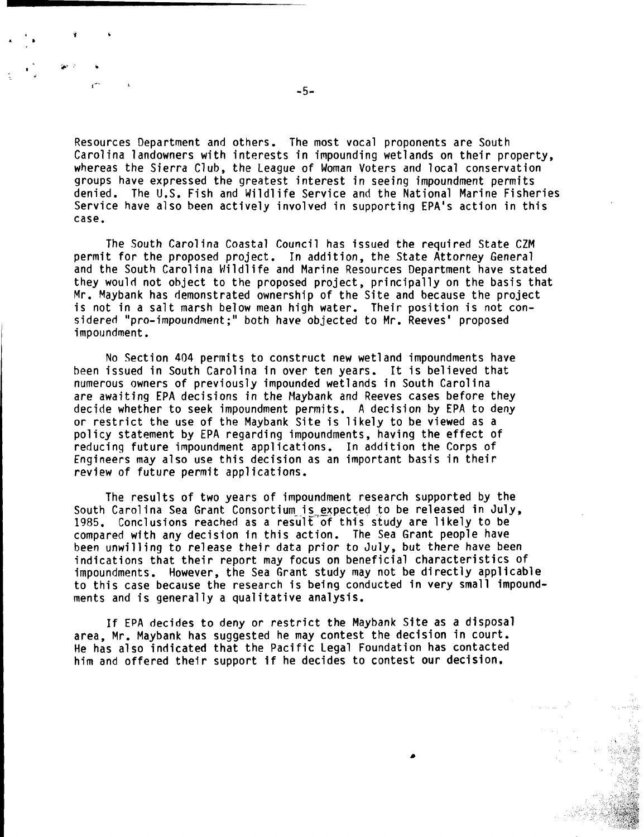Resources Department and others. The most vocal proponents are South Carolina landowners with interests in impounding wetlands on their property, whereas the Sierra Club, the League of Woman Voters and local conservation groups have expressed the greatest interest in seeing impoundment permits denied. The U.S. Fish and Wildlife Service and the National Marine Fisheries Service have also been actively involved in supporting EPA's action in this case.

The South Carolina Coastal Council has issued the required State CZM permit for the proposed project. In addition, the State Attorney General and the South Carolina Wildlife and Marine Resources Department have stated they would not object to the proposed project, principally on the basis that Mr. Maybank has demonstrated ownership of the Site and because the project is not in a salt marsh below mean high water. Their position is not considered "pro-impoundment;" both have objected to Mr. Reeves' proposed impoundment.

No Section 404 permits to construct new wetland impoundments have been issued in South Carolina in over ten years. It is believed that numerous owners of previously impounded wetlands in South Carolina are awaiting EPA decisions in the Maybank and Reeves cases before they decide whether to seek impoundment permits. A decision by EPA to deny or restrict the use of the Maybank Site is likely to be viewed as a policy statement by EPA regarding impoundments, having the effect of reducing future impoundment applications. In addition the Corps of Engineers may also use this decision as an important basis in their review of future permit applications.

The results of two years of impoundment research supported by the South Carolina Sea Grant Consortium is expected to be released in July, 1985. Conclusions reached as a result of this study are likely to be compared with any decision in this action. The Sea Grant people have been unwilling to release their data prior to July, but there have been indications that their report may focus on beneficial characteristics of impoundments. However, the Sea Grant study may not be directly applicable to this case because the research is being conducted in very small impoundments and is generally a qualitative analysis.

If EPA decides to deny or restrict the Maybank Site as a disposal area, Mr. Maybank has suggested he may contest the decision in court. He has also indicated that the Pacific Legal Foundation has contacted him and offered their support if he decides to contest our decision.

 $\mathbf{r}$